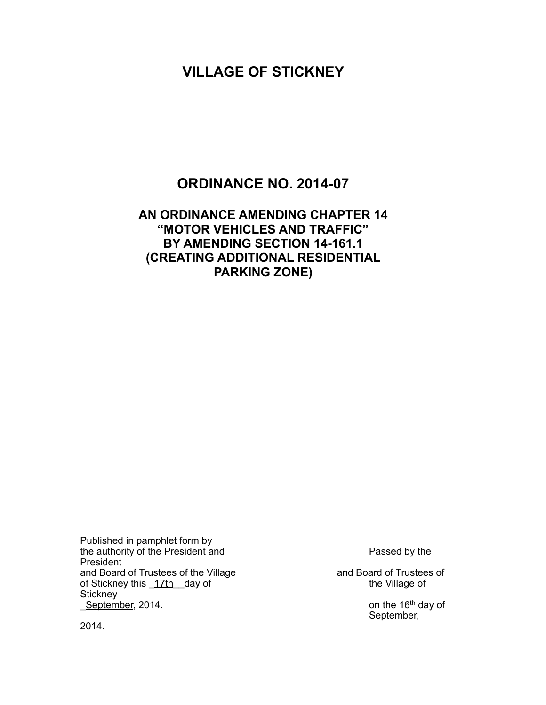# **VILLAGE OF STICKNEY**

## **ORDINANCE NO. 2014-07**

#### **AN ORDINANCE AMENDING CHAPTER 14 "MOTOR VEHICLES AND TRAFFIC" BY AMENDING SECTION 14-161.1 (CREATING ADDITIONAL RESIDENTIAL PARKING ZONE)**

Published in pamphlet form by the authority of the President and **Passed by the President** and Passed by the President and Board of Trustees of the Village and Board of Trustees of of Stickney this 17th day of and Board of Trustees of of Stickney this 17th day of **Stickney Example 16th day of** September, 2014.

September,

2014.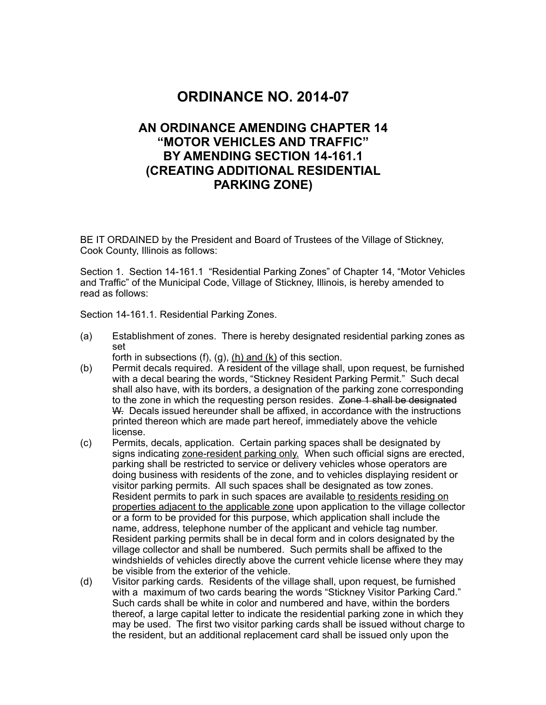## **ORDINANCE NO. 2014-07**

#### **AN ORDINANCE AMENDING CHAPTER 14 "MOTOR VEHICLES AND TRAFFIC" BY AMENDING SECTION 14-161.1 (CREATING ADDITIONAL RESIDENTIAL PARKING ZONE)**

BE IT ORDAINED by the President and Board of Trustees of the Village of Stickney, Cook County, Illinois as follows:

Section 1. Section 14-161.1 "Residential Parking Zones" of Chapter 14, "Motor Vehicles and Traffic" of the Municipal Code, Village of Stickney, Illinois, is hereby amended to read as follows:

Section 14-161.1. Residential Parking Zones.

(a) Establishment of zones. There is hereby designated residential parking zones as set

forth in subsections (f), (g), (h) and  $(k)$  of this section.

- (b) Permit decals required. A resident of the village shall, upon request, be furnished with a decal bearing the words, "Stickney Resident Parking Permit." Such decal shall also have, with its borders, a designation of the parking zone corresponding to the zone in which the requesting person resides. Zone 1 shall be designated W. Decals issued hereunder shall be affixed, in accordance with the instructions printed thereon which are made part hereof, immediately above the vehicle license.
- (c) Permits, decals, application. Certain parking spaces shall be designated by signs indicating zone-resident parking only. When such official signs are erected, parking shall be restricted to service or delivery vehicles whose operators are doing business with residents of the zone, and to vehicles displaying resident or visitor parking permits. All such spaces shall be designated as tow zones. Resident permits to park in such spaces are available to residents residing on properties adjacent to the applicable zone upon application to the village collector or a form to be provided for this purpose, which application shall include the name, address, telephone number of the applicant and vehicle tag number. Resident parking permits shall be in decal form and in colors designated by the village collector and shall be numbered. Such permits shall be affixed to the windshields of vehicles directly above the current vehicle license where they may be visible from the exterior of the vehicle.
- (d) Visitor parking cards. Residents of the village shall, upon request, be furnished with a maximum of two cards bearing the words "Stickney Visitor Parking Card." Such cards shall be white in color and numbered and have, within the borders thereof, a large capital letter to indicate the residential parking zone in which they may be used. The first two visitor parking cards shall be issued without charge to the resident, but an additional replacement card shall be issued only upon the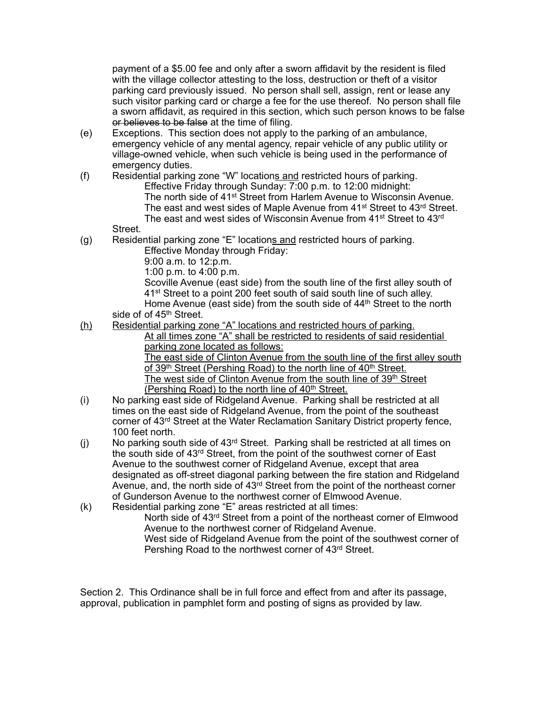payment of a \$5.00 fee and only after a sworn affidavit by the resident is filed with the village collector attesting to the loss, destruction or theft of a visitor parking card previously issued. No person shall sell, assign, rent or lease any such visitor parking card or charge a fee for the use thereof. No person shall file a sworn affidavit, as required in this section, which such person knows to be false or believes to be false at the time of filing.

- (e) Exceptions. This section does not apply to the parking of an ambulance, emergency vehicle of any mental agency, repair vehicle of any public utility or village-owned vehicle, when such vehicle is being used in the performance of emergency duties.
- (f) Residential parking zone "W" locations and restricted hours of parking. Effective Friday through Sunday: 7:00 p.m. to 12:00 midnight: The north side of 41st Street from Harlem Avenue to Wisconsin Avenue. The east and west sides of Maple Avenue from 41<sup>st</sup> Street to 43<sup>rd</sup> Street. The east and west sides of Wisconsin Avenue from 41<sup>st</sup> Street to 43<sup>rd</sup>

Street.

(g) Residential parking zone "E" locations and restricted hours of parking.

Effective Monday through Friday:

9:00 a.m. to 12:p.m.

1:00 p.m. to 4:00 p.m.

 Scoville Avenue (east side) from the south line of the first alley south of 41st Street to a point 200 feet south of said south line of such alley. Home Avenue (east side) from the south side of 44<sup>th</sup> Street to the north side of of 45<sup>th</sup> Street.

(h) Residential parking zone "A" locations and restricted hours of parking. At all times zone "A" shall be restricted to residents of said residential parking zone located as follows:

The east side of Clinton Avenue from the south line of the first alley south of 39<sup>th</sup> Street (Pershing Road) to the north line of 40<sup>th</sup> Street. The west side of Clinton Avenue from the south line of 39<sup>th</sup> Street (Pershing Road) to the north line of  $40<sup>th</sup>$  Street.

- (i) No parking east side of Ridgeland Avenue. Parking shall be restricted at all times on the east side of Ridgeland Avenue, from the point of the southeast corner of 43rd Street at the Water Reclamation Sanitary District property fence, 100 feet north.
- (i) No parking south side of  $43<sup>rd</sup>$  Street. Parking shall be restricted at all times on the south side of 43rd Street, from the point of the southwest corner of East Avenue to the southwest corner of Ridgeland Avenue, except that area designated as off-street diagonal parking between the fire station and Ridgeland Avenue, and, the north side of 43<sup>rd</sup> Street from the point of the northeast corner of Gunderson Avenue to the northwest corner of Elmwood Avenue.
- (k) Residential parking zone "E" areas restricted at all times: North side of 43rd Street from a point of the northeast corner of Elmwood Avenue to the northwest corner of Ridgeland Avenue. West side of Ridgeland Avenue from the point of the southwest corner of Pershing Road to the northwest corner of 43rd Street.

Section 2. This Ordinance shall be in full force and effect from and after its passage, approval, publication in pamphlet form and posting of signs as provided by law.